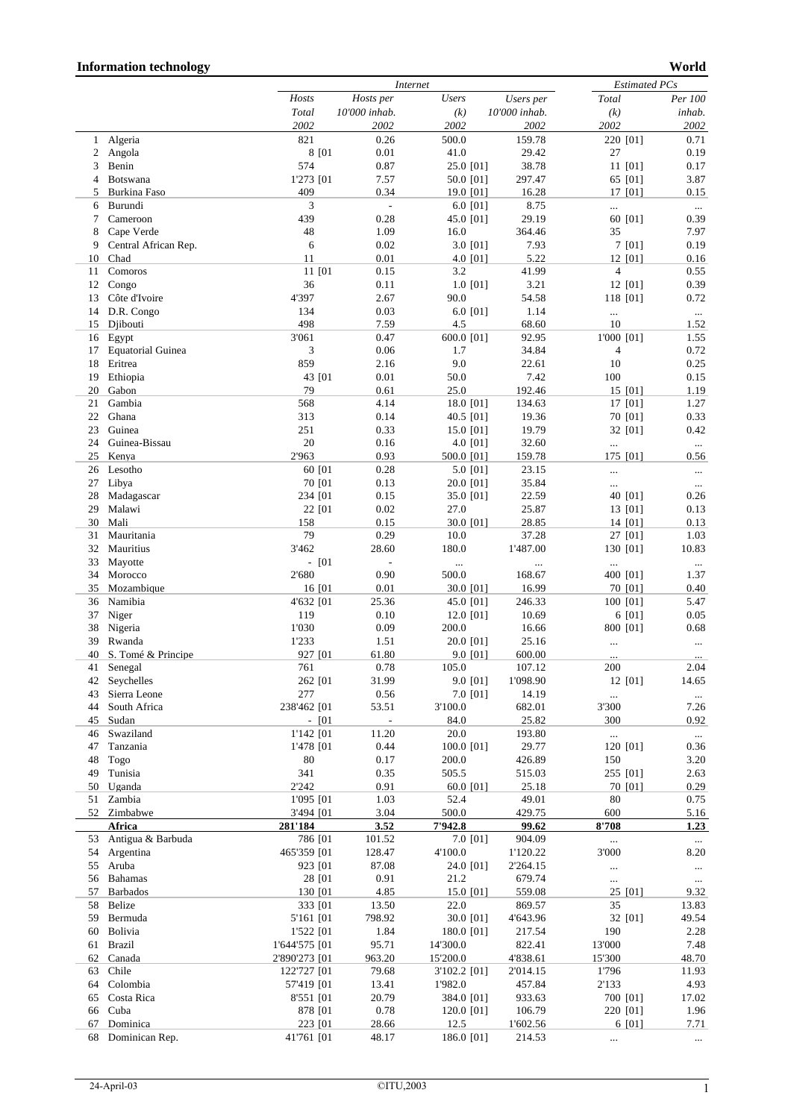## **Information technology World**

|    |                          |               |         |               | <i>Internet</i> |               |          |                |           | <b>Estimated PCs</b> |
|----|--------------------------|---------------|---------|---------------|-----------------|---------------|----------|----------------|-----------|----------------------|
|    |                          | Hosts         |         | Hosts per     | <b>Users</b>    | Users per     |          | Total          |           | Per 100              |
|    |                          | Total         |         | 10'000 inhab. | (k)             | 10'000 inhab. |          | (k)            |           | inhab.               |
|    |                          | 2002          |         | 2002          | 2002            | 2002          |          | 2002           |           | 2002                 |
| 1  | Algeria                  | 821           |         | 0.26          | 500.0           | 159.78        |          |                | 220 [01]  | 0.71                 |
| 2  | Angola                   |               | 8 [01   | 0.01          | 41.0            | 29.42         |          | 27             |           | 0.19                 |
| 3  | Benin                    | 574           |         | 0.87          | 25.0 [01]       | 38.78         |          |                | 11 [01]   | 0.17                 |
| 4  | Botswana                 | 1'273 [01     |         | 7.57          | 50.0 [01]       | 297.47        |          |                | 65 [01]   | 3.87                 |
| 5  | Burkina Faso             | 409           |         | 0.34          | 19.0 [01]       | 16.28         |          |                | 17 [01]   | 0.15                 |
| 6  | Burundi                  | 3             |         | ÷,            | 6.0 $[01]$      |               | 8.75     |                |           | $\cdots$             |
| 7  | Cameroon                 | 439           |         | 0.28          | 45.0 [01]       | 29.19         |          |                | 60 [01]   | 0.39                 |
| 8  | Cape Verde               | 48            |         | 1.09          | 16.0            | 364.46        |          | 35             |           | 7.97                 |
| 9  | Central African Rep.     | 6             |         | 0.02          | 3.0 [01]        |               | 7.93     |                | 7 [01]    | 0.19                 |
| 10 | Chad                     | 11            |         | 0.01          | 4.0 [01]        |               | 5.22     |                | 12 [01]   | 0.16                 |
| 11 | Comoros                  | 11 [01        |         | 0.15          | 3.2             | 41.99         |          | $\overline{4}$ |           | 0.55                 |
| 12 | Congo                    | 36            |         | 0.11          | $1.0$ [01]      |               | 3.21     |                | 12 [01]   | 0.39                 |
| 13 | Côte d'Ivoire            | 4'397         |         | 2.67          | 90.0            | 54.58         |          |                | 118 [01]  | 0.72                 |
| 14 | D.R. Congo               | 134           |         | 0.03          | 6.0 $[01]$      |               | 1.14     |                |           | $\ldots$             |
| 15 | Djibouti                 | 498           |         | 7.59          | 4.5             | 68.60         |          | 10             |           | 1.52                 |
| 16 | Egypt                    | 3'061         |         | 0.47          | 600.0 [01]      | 92.95         |          | 1'000 [01]     |           | 1.55                 |
| 17 | <b>Equatorial Guinea</b> | 3             |         | 0.06          | 1.7             | 34.84         |          | $\overline{4}$ |           | 0.72                 |
| 18 | Eritrea                  | 859           |         | 2.16          | 9.0             | 22.61         |          | 10             |           | 0.25                 |
| 19 | Ethiopia                 | 43 [01        |         | 0.01          | 50.0            |               | 7.42     | 100            |           | 0.15                 |
| 20 | Gabon                    | 79            |         | 0.61          | 25.0            | 192.46        |          |                | 15 [01]   | 1.19                 |
| 21 | Gambia                   | 568           |         | 4.14          | 18.0 [01]       | 134.63        |          |                | $17$ [01] | 1.27                 |
| 22 | Ghana                    | 313           |         | 0.14          | 40.5 [01]       | 19.36         |          |                |           |                      |
|    |                          |               |         |               |                 |               |          |                | 70 [01]   | 0.33                 |
| 23 | Guinea                   | 251           |         | 0.33          | 15.0 [01]       | 19.79         |          |                | 32 [01]   | 0.42                 |
| 24 | Guinea-Bissau            | $20\,$        |         | 0.16          | 4.0 [01]        | 32.60         |          | $\ldots$       |           | $\ldots$             |
| 25 | Kenya                    | 2'963         |         | 0.93          | 500.0 [01]      | 159.78        |          |                | 175 [01]  | 0.56                 |
| 26 | Lesotho                  |               | 60 [01  | 0.28          | 5.0 [01]        | 23.15         |          |                |           | $\cdots$             |
| 27 | Libya                    | 70 [01        |         | 0.13          | 20.0 [01]       | 35.84         |          | $\cdots$       |           | $\ldots$             |
| 28 | Madagascar               | 234 [01       |         | 0.15          | 35.0 [01]       | 22.59         |          |                | 40 [01]   | 0.26                 |
| 29 | Malawi                   | 22 [01        |         | 0.02          | 27.0            | 25.87         |          |                | 13 [01]   | 0.13                 |
| 30 | Mali                     | 158           |         | 0.15          | 30.0 [01]       | 28.85         |          |                | 14 [01]   | 0.13                 |
| 31 | Mauritania               | 79            |         | 0.29          | 10.0            | 37.28         |          |                | 27 [01]   | 1.03                 |
| 32 | Mauritius                | 3'462         |         | 28.60         | 180.0           | 1'487.00      |          |                | 130 [01]  | 10.83                |
| 33 | Mayotte                  |               | $-$ [01 | $\frac{1}{2}$ | $\ddotsc$       |               | $\ldots$ | $\ldots$       |           | $\ldots$             |
| 34 | Morocco                  | 2'680         |         | 0.90          | 500.0           | 168.67        |          |                | 400 [01]  | 1.37                 |
| 35 | Mozambique               |               | 16 [01  | 0.01          | 30.0 [01]       | 16.99         |          |                | 70 [01]   | 0.40                 |
| 36 | Namibia                  | 4'632 [01     |         | 25.36         | 45.0 [01]       | 246.33        |          |                | 100 [01]  | 5.47                 |
| 37 | Niger                    | 119           |         | 0.10          | 12.0 [01]       | 10.69         |          |                | 6 [01]    | 0.05                 |
| 38 | Nigeria                  | 1'030         |         | 0.09          | 200.0           | 16.66         |          |                | 800 [01]  | 0.68                 |
| 39 | Rwanda                   | 1'233         |         | 1.51          | 20.0 [01]       | 25.16         |          | $\ldots$       |           | $\ldots$             |
| 40 | S. Tomé & Principe       | 927 [01       |         | 61.80         | 9.0 [01]        | 600.00        |          | $\cdots$       |           |                      |
| 41 | Senegal                  | 761           |         | 0.78          | 105.0           | 107.12        |          | 200            |           | 2.04                 |
| 42 | Seychelles               | 262 [01       |         | 31.99         | 9.0 [01]        | 1'098.90      |          |                | 12 [01]   | 14.65                |
| 43 | Sierra Leone             | 277           |         | 0.56          | 7.0 [01]        | 14.19         |          | $\ldots$       |           | $\ldots$             |
| 44 | South Africa             | 238'462 [01   |         | 53.51         | 3'100.0         | 682.01        |          | 3'300          |           | 7.26                 |
| 45 | Sudan                    |               | $-$ [01 |               | 84.0            | 25.82         |          | 300            |           | 0.92                 |
| 46 | Swaziland                | 1'142 [01     |         | 11.20         | 20.0            | 193.80        |          | $\ldots$       |           | $\ldots$             |
| 47 | Tanzania                 | 1'478 [01     |         | 0.44          | 100.0 [01]      | 29.77         |          |                | 120 [01]  | 0.36                 |
| 48 | Togo                     | 80            |         | 0.17          | 200.0           | 426.89        |          | 150            |           | 3.20                 |
| 49 | Tunisia                  | 341           |         | 0.35          | 505.5           | 515.03        |          |                | 255 [01]  | 2.63                 |
| 50 | Uganda                   | 2'242         |         | 0.91          | 60.0 [01]       | 25.18         |          |                | 70 [01]   | 0.29                 |
| 51 | Zambia                   | 1'095 [01     |         | 1.03          | 52.4            | 49.01         |          | 80             |           | 0.75                 |
|    | 52 Zimbabwe              | 3'494 [01     |         | 3.04          | 500.0           | 429.75        |          | 600            |           | 5.16                 |
|    | Africa                   | 281'184       |         | 3.52          | 7'942.8         | 99.62         |          | 8'708          |           | 1.23                 |
| 53 | Antigua & Barbuda        | 786 [01       |         | 101.52        | 7.0 [01]        | 904.09        |          | $\ldots$       |           | $\ldots$             |
| 54 | Argentina                | 465'359 [01   |         | 128.47        | 4'100.0         | 1'120.22      |          | 3'000          |           | 8.20                 |
| 55 | Aruba                    | 923 [01]      |         | 87.08         | 24.0 [01]       | 2'264.15      |          |                |           | $\ldots$             |
| 56 | Bahamas                  | 28 [01        |         | 0.91          | 21.2            | 679.74        |          | $\ldots$       |           | $\ldots$             |
| 57 | <b>Barbados</b>          | 130 [01       |         | 4.85          | 15.0 [01]       | 559.08        |          |                | 25 [01]   | 9.32                 |
| 58 | Belize                   | 333 [01       |         | 13.50         | 22.0            | 869.57        |          | 35             |           | 13.83                |
| 59 | Bermuda                  | 5'161 [01]    |         | 798.92        | 30.0 [01]       | 4'643.96      |          |                | 32 [01]   | 49.54                |
| 60 | Bolivia                  | 1'522 [01     |         | 1.84          | 180.0 [01]      | 217.54        |          | 190            |           | 2.28                 |
| 61 | Brazil                   | 1'644'575 [01 |         | 95.71         | 14'300.0        | 822.41        |          | 13'000         |           | 7.48                 |
| 62 | Canada                   | 2'890'273 [01 |         | 963.20        | 15'200.0        | 4'838.61      |          | 15'300         |           | 48.70                |
| 63 | Chile                    | 122'727 [01   |         | 79.68         | 3'102.2 [01]    | 2'014.15      |          | 1'796          |           | 11.93                |
| 64 | Colombia                 | 57'419 [01    |         | 13.41         | 1'982.0         | 457.84        |          | 2'133          |           | 4.93                 |
| 65 | Costa Rica               | 8'551 [01     |         | 20.79         | 384.0 [01]      | 933.63        |          |                | 700 [01]  | 17.02                |
| 66 | Cuba                     | 878 [01       |         | 0.78          | 120.0 [01]      | 106.79        |          |                | 220 [01]  | 1.96                 |
| 67 | Dominica                 | 223 [01       |         | 28.66         | 12.5            | 1'602.56      |          |                | 6 [01]    | 7.71                 |
|    | 68 Dominican Rep.        | 41'761 [01    |         | 48.17         | 186.0 [01]      | 214.53        |          |                |           |                      |
|    |                          |               |         |               |                 |               |          |                |           | $\ldots$             |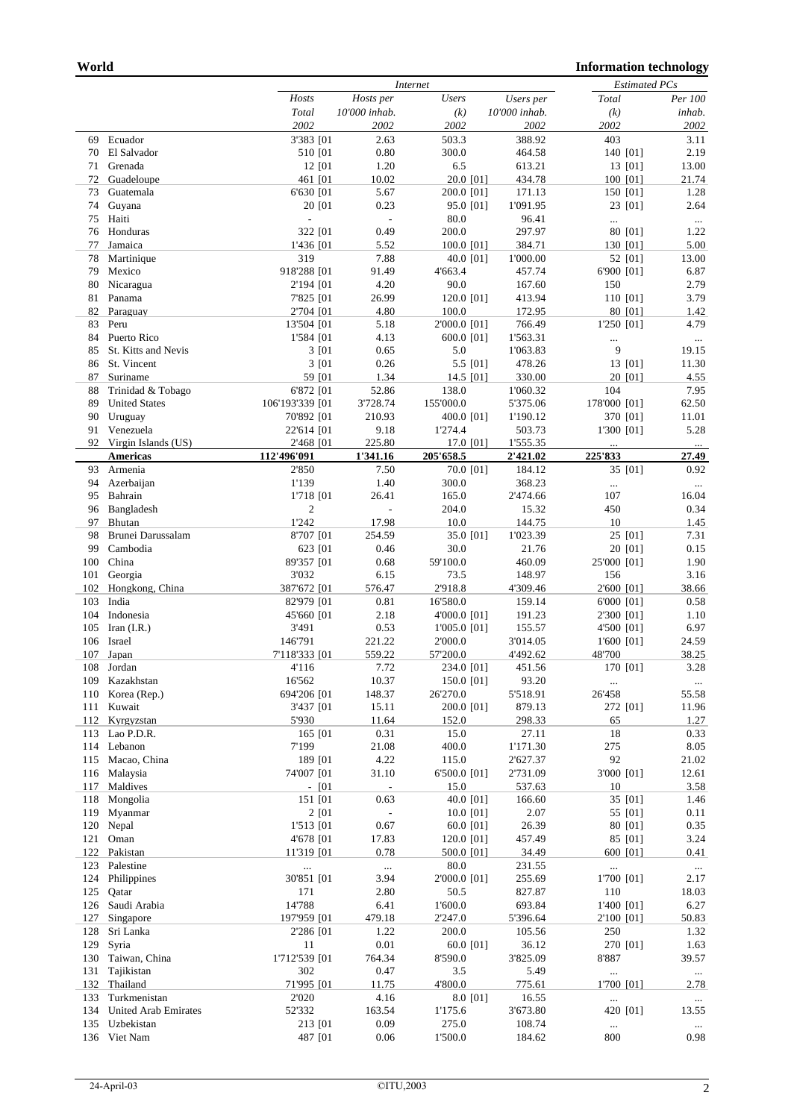|     |                             |                 | Internet |                          |                     |               | <b>Estimated PCs</b> |                     |                  |
|-----|-----------------------------|-----------------|----------|--------------------------|---------------------|---------------|----------------------|---------------------|------------------|
|     |                             | Hosts           |          | Hosts per                | <b>Users</b>        | Users per     | Total                |                     | Per 100          |
|     |                             | Total           |          | 10'000 inhab.            | (k)                 | 10'000 inhab. | (k)                  |                     | inhab.           |
|     |                             | 2002            |          | 2002                     | 2002                | 2002          | 2002                 |                     | 2002             |
| 69  | Ecuador                     | 3'383 [01       |          | 2.63                     | 503.3               | 388.92        | 403                  |                     | 3.11             |
| 70  | El Salvador                 | 510 [01         |          | 0.80                     | 300.0               | 464.58        |                      | 140 [01]            | 2.19             |
| 71  | Grenada                     | 12 [01          |          | 1.20                     | 6.5                 | 613.21        |                      | 13 [01]             | 13.00            |
| 72  | Guadeloupe                  | 461 [01         |          | 10.02                    | 20.0 [01]           | 434.78        |                      | 100 [01]            | 21.74            |
| 73  | Guatemala                   | 6'630 [01       |          | 5.67                     | 200.0 [01]          | 171.13        |                      | 150 [01]            | 1.28             |
| 74  | Guyana                      | 20 [01          |          | 0.23                     | 95.0 [01]           | 1'091.95      |                      | 23 [01]             | 2.64             |
| 75  | Haiti                       | $\overline{a}$  |          | $\overline{\phantom{a}}$ | 80.0                | 96.41         |                      |                     | $\ldots$         |
| 76  | Honduras                    | 322 [01]        |          | 0.49                     | 200.0               | 297.97        |                      | 80 [01]             | 1.22             |
| 77  | Jamaica                     | 1'436 [01       |          | 5.52                     | 100.0 [01]          | 384.71        |                      | 130 [01]            | 5.00             |
| 78  | Martinique                  | 319             |          | 7.88                     | 40.0 [01]           | 1'000.00      |                      | 52 [01]             | 13.00            |
| 79  | Mexico                      | 918'288 [01     |          | 91.49                    | 4'663.4             | 457.74        | 6'900 [01]           |                     | 6.87             |
| 80  | Nicaragua                   | 2'194 [01       |          | 4.20                     | 90.0                | 167.60        | 150                  |                     | 2.79             |
| 81  |                             |                 |          | 26.99                    |                     | 413.94        |                      |                     | 3.79             |
| 82  | Panama                      | 7'825 [01]      |          | 4.80                     | 120.0 [01]<br>100.0 |               |                      | 110 [01]<br>80 [01] | 1.42             |
|     | Paraguay                    | 2'704 [01       |          |                          |                     | 172.95        |                      |                     |                  |
| 83  | Peru                        | 13'504 [01      |          | 5.18                     | 2'000.0 [01]        | 766.49        | 1'250 [01]           |                     | 4.79             |
| 84  | Puerto Rico                 | 1'584 [01       |          | 4.13                     | 600.0 [01]          | 1'563.31      | $\ldots$             |                     | $\ldots$         |
| 85  | St. Kitts and Nevis         | 3 [01           |          | 0.65                     | 5.0                 | 1'063.83      | 9                    |                     | 19.15            |
| 86  | St. Vincent                 | 3 [01           |          | 0.26                     | 5.5 [01]            | 478.26        |                      | 13 [01]             | 11.30            |
| 87  | Suriname                    | 59 [01          |          | 1.34                     | 14.5 [01]           | 330.00        |                      | 20 [01]             | 4.55             |
| 88  | Trinidad & Tobago           | 6'872 [01       |          | 52.86                    | 138.0               | 1'060.32      | 104                  |                     | 7.95             |
| 89  | <b>United States</b>        | 106'193'339 [01 |          | 3'728.74                 | 155'000.0           | 5'375.06      | 178'000 [01]         |                     | 62.50            |
| 90  | Uruguay                     | 70'892 [01      |          | 210.93                   | 400.0 [01]          | 1'190.12      |                      | 370 [01]            | 11.01            |
| 91  | Venezuela                   | 22'614 [01      |          | 9.18                     | 1'274.4             | 503.73        | 1'300 [01]           |                     | 5.28             |
|     | 92 Virgin Islands (US)      | 2'468 [01       |          | 225.80                   | 17.0 [01]           | 1'555.35      |                      |                     | $\ldots$         |
|     | <b>Americas</b>             | 112'496'091     |          | 1'341.16                 | 205'658.5           | 2'421.02      | 225'833              |                     | 27.49            |
| 93  | Armenia                     | 2'850           |          | 7.50                     | 70.0 [01]           | 184.12        |                      | 35 [01]             | 0.92             |
| 94  | Azerbaijan                  | 1'139           |          | 1.40                     | 300.0               | 368.23        | $\ldots$             |                     | $\cdots$         |
| 95  | Bahrain                     | 1'718 [01       |          | 26.41                    | 165.0               | 2'474.66      | 107                  |                     | 16.04            |
| 96  | Bangladesh                  | $\overline{c}$  |          | $\overline{\phantom{a}}$ | 204.0               | 15.32         | 450                  |                     | 0.34             |
| 97  | Bhutan                      | 1'242           |          | 17.98                    | 10.0                | 144.75        | 10                   |                     | 1.45             |
| 98  | Brunei Darussalam           | 8'707 [01       |          | 254.59                   | 35.0 [01]           | 1'023.39      |                      | 25 [01]             | 7.31             |
| 99  | Cambodia                    | 623 [01         |          | 0.46                     | 30.0                | 21.76         |                      | 20 [01]             | 0.15             |
| 100 | China                       | 89'357 [01      |          | 0.68                     | 59'100.0            | 460.09        | 25'000 [01]          |                     | 1.90             |
| 101 | Georgia                     | 3'032           |          | 6.15                     | 73.5                | 148.97        | 156                  |                     | 3.16             |
| 102 | Hongkong, China             | 387'672 [01     |          | 576.47                   | 2'918.8             | 4'309.46      | 2'600 [01]           |                     | 38.66            |
| 103 | India                       | 82'979 [01      |          | 0.81                     | 16'580.0            | 159.14        | 6'000 [01]           |                     | 0.58             |
| 104 | Indonesia                   | 45'660 [01      |          | 2.18                     | 4'000.0 [01]        | 191.23        | 2'300 [01]           |                     | 1.10             |
| 105 | Iran $(I.R.)$               | 3'491           |          | 0.53                     | 1'005.0 [01]        | 155.57        | 4'500 [01]           |                     | 6.97             |
| 106 | Israel                      | 146'791         |          | 221.22                   | 2'000.0             | 3'014.05      | 1'600 [01]           |                     | 24.59            |
|     |                             | 7'118'333 [01   |          | 559.22                   | 57'200.0            | 4'492.62      | 48'700               |                     | 38.25            |
| 107 | Japan<br>Jordan             |                 |          |                          |                     |               |                      |                     |                  |
| 108 |                             | 4'116           |          | 7.72                     | 234.0 [01]          | 451.56        |                      | 170 [01]            | 3.28             |
| 109 | Kazakhstan                  | 16'562          |          | 10.37                    | 150.0 [01]          | 93.20         | $\ldots$             |                     | $\ldots$         |
| 110 | Korea (Rep.)                | 694'206 [01     |          | 148.37                   | 26'270.0            | 5'518.91      | 26'458               |                     | 55.58            |
| 111 | Kuwait                      | 3'437 [01       |          | 15.11                    | 200.0 [01]          | 879.13        |                      | 272 [01]            | 11.96            |
| 112 | Kyrgyzstan                  | 5'930           |          | 11.64                    | 152.0               | 298.33        | 65                   |                     | 1.27             |
| 113 | Lao P.D.R.                  | 165 [01         |          | 0.31                     | 15.0                | 27.11         | 18                   |                     | 0.33             |
|     | 114 Lebanon                 | 7'199           |          | 21.08                    | 400.0               | 1'171.30      | 275                  |                     | 8.05             |
|     | 115 Macao, China            | 189 [01         |          | 4.22                     | 115.0               | 2'627.37      | 92                   |                     | 21.02            |
| 116 | Malaysia                    | 74'007 [01      |          | 31.10                    | 6'500.0 [01]        | 2'731.09      | 3'000 [01]           |                     | 12.61            |
| 117 | Maldives                    | $-$ [01         |          | $\overline{\phantom{a}}$ | 15.0                | 537.63        | 10                   |                     | 3.58             |
| 118 | Mongolia                    | 151 [01         |          | 0.63                     | 40.0 [01]           | 166.60        |                      | 35 [01]             | 1.46             |
| 119 | Myanmar                     | 2 [01           |          | $\overline{\phantom{a}}$ | 10.0 [01]           | 2.07          |                      | 55 [01]             | 0.11             |
| 120 | Nepal                       | 1'513 [01       |          | 0.67                     | 60.0 [01]           | 26.39         |                      | 80 [01]             | 0.35             |
| 121 | Oman                        | 4'678 [01       |          | 17.83                    | 120.0 [01]          | 457.49        |                      | 85 [01]             | 3.24             |
| 122 | Pakistan                    | 11'319 [01      |          | 0.78                     | 500.0 [01]          | 34.49         |                      | 600 [01]            | 0.41             |
| 123 | Palestine                   |                 |          | $\ldots$                 | 80.0                | 231.55        |                      |                     | $\ldots$         |
| 124 | Philippines                 | 30'851 [01      |          | 3.94                     | 2'000.0 [01]        | 255.69        | 1'700 [01]           |                     | 2.17             |
| 125 | Qatar                       | 171             |          | 2.80                     | 50.5                | 827.87        | 110                  |                     | 18.03            |
| 126 | Saudi Arabia                | 14'788          |          | 6.41                     | 1'600.0             | 693.84        | 1'400 [01]           |                     | 6.27             |
| 127 | Singapore                   | 197'959 [01     |          | 479.18                   | 2'247.0             | 5'396.64      | 2'100 [01]           |                     | 50.83            |
| 128 | Sri Lanka                   | 2'286 [01       |          | 1.22                     | 200.0               | 105.56        | 250                  |                     | 1.32             |
| 129 | Syria                       | 11              |          | 0.01                     | 60.0 [01]           | 36.12         |                      | 270 [01]            | 1.63             |
| 130 | Taiwan, China               | 1'712'539 [01   |          | 764.34                   | 8'590.0             | 3'825.09      | 8'887                |                     | 39.57            |
| 131 | Tajikistan                  | 302             |          | 0.47                     | 3.5                 | 5.49          | $\ldots$             |                     | $\ldots$         |
| 132 | Thailand                    | 71'995 [01      |          | 11.75                    | 4'800.0             | 775.61        | 1'700 [01]           |                     | 2.78             |
| 133 | Turkmenistan                | 2'020           |          | 4.16                     | 8.0 [01]            | 16.55         | $\cdots$             |                     | $\ldots$         |
| 134 | <b>United Arab Emirates</b> | 52'332          |          | 163.54                   | 1'175.6             | 3'673.80      |                      | 420 [01]            | 13.55            |
| 135 | Uzbekistan                  | 213 [01         |          | 0.09                     | 275.0               | 108.74        | $\ldots$             |                     |                  |
| 136 | Viet Nam                    | 487 [01         |          | 0.06                     | 1'500.0             | 184.62        | 800                  |                     | $\ldots$<br>0.98 |
|     |                             |                 |          |                          |                     |               |                      |                     |                  |